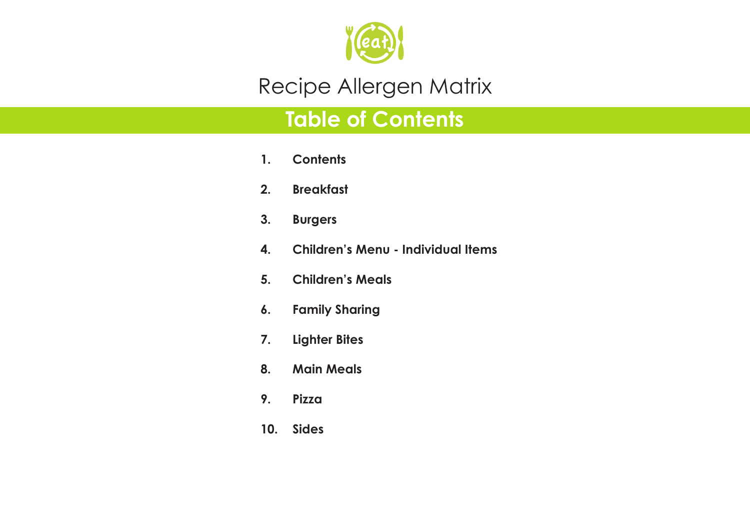

# **Table of Contents**

- **1. Contents**
- **2. Breakfast**
- **3. Burgers**
- **4. Children's Menu Individual Items**
- **5. Children's Meals**
- **6. Family Sharing**
- **7. Lighter Bites**
- **8. Main Meals**
- **9. Pizza**
- **10. Sides**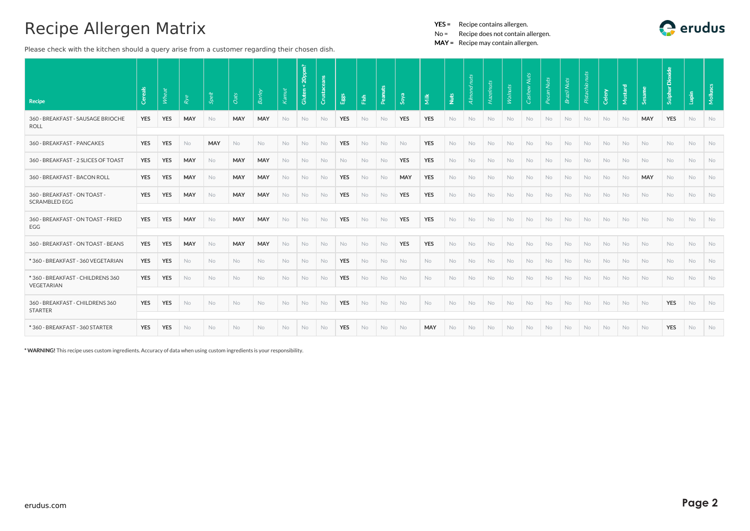Please check with the kitchen should a query arise from a customer regarding their chosen dish.

YES = Recipe contains allergen.

No = Recipe does not contain allergen.

MAY = Recipe may contain allergen.

| <b>Recipe</b>                                        | Cereal:    | Wheat      | Rye        | Spelt     | Oats       | Barley     | Kanut     | Gluten < 20ppm? | Crusta    | Eggs       | Fish      | Peanuts | Soya       | $\tilde{\overline{\mathbf{z}}}$ | Nuts      | Almond nuts | Hazelnuts | <b>Walnuts</b> | <b>Nuts</b><br>Cash |           | <b>Nuts</b> | Pistachio nuts | Celery    | Mustard | ്ഗ്        | Dioxide<br>Sulphur | Lupin     | Mollus |
|------------------------------------------------------|------------|------------|------------|-----------|------------|------------|-----------|-----------------|-----------|------------|-----------|---------|------------|---------------------------------|-----------|-------------|-----------|----------------|---------------------|-----------|-------------|----------------|-----------|---------|------------|--------------------|-----------|--------|
| 360 - BREAKFAST - SAUSAGE BRIOCHE<br><b>ROLL</b>     | YES        | <b>YES</b> | <b>MAY</b> | <b>No</b> | <b>MAY</b> | MAY        | No        | No              | No.       | <b>YES</b> | No        | No      | <b>YES</b> | <b>YES</b>                      | No        | No          | No.       | No             | No                  | No        | No          | No             | No        | No.     | MAY        | <b>YES</b>         | No        | No     |
| 360 - BREAKFAST - PANCAKES                           | <b>YES</b> | <b>YES</b> | No         | MAY       | No         | No         | No        | No              | No        | <b>YES</b> | No        | No      | No         | <b>YES</b>                      | <b>No</b> | No          | No        | No             | No                  | No        | No          | No             | No        | No      | No         | No                 | No        | No     |
| 360 - BREAKFAST - 2 SLICES OF TOAST                  | <b>YES</b> | <b>YES</b> | MAY        | <b>No</b> | MAY        | <b>MAY</b> | <b>No</b> | <b>No</b>       | <b>No</b> | No.        | <b>No</b> | No      | <b>YES</b> | <b>YES</b>                      | No        | No          | <b>No</b> | <b>No</b>      | <b>No</b>           | <b>No</b> | <b>No</b>   | <b>No</b>      | <b>No</b> | No.     | <b>No</b>  | No                 | <b>No</b> | No     |
| 360 - BREAKFAST - BACON ROLL                         | <b>YES</b> | <b>YES</b> | MAY        | <b>No</b> | MAY        | <b>MAY</b> | No        | No              | No        | <b>YES</b> | No        | No      | MAY        | <b>YES</b>                      | No        | No          | No        | <b>No</b>      | No                  | No        | <b>No</b>   | No             | <b>No</b> | No      | <b>MAY</b> | No                 | No        | No     |
| 360 - BREAKFAST - ON TOAST -<br><b>SCRAMBLED EGG</b> | <b>YES</b> | <b>YES</b> | MAY        | No        | MAY        | MAY        | No        | No              | No        | <b>YES</b> | No        | No      | <b>YES</b> | <b>YES</b>                      | No        | No          | No.       | No             | No                  | No        | No          | No             | No        | No.     | No         | No                 | No        | No     |
| 360 - BREAKFAST - ON TOAST - FRIED<br>EGG            | <b>YES</b> | <b>YES</b> | MAY        | <b>No</b> | MAY        | MAY        | No        | No              | No        | <b>YES</b> | No        | No      | <b>YES</b> | <b>YES</b>                      | No        | No          | No        | No             | No                  | No        | No          | No             | No        | No      | No         | No                 | No        | No     |
| 360 - BREAKFAST - ON TOAST - BEANS                   | <b>YES</b> | <b>YES</b> | MAY        | No        | <b>MAY</b> | MAY        | No        | No              | <b>No</b> | <b>No</b>  | <b>No</b> | No      | <b>YES</b> | <b>YES</b>                      | <b>No</b> | No          | No        | <b>No</b>      | <b>No</b>           | No.       | <b>No</b>   | No             | No        | No      | No         | No                 | No        | No     |
| *360 - BREAKFAST - 360 VEGETARIAN                    | <b>YES</b> | <b>YES</b> | <b>No</b>  | <b>No</b> | <b>No</b>  | No.        | <b>No</b> | <b>No</b>       | No        | <b>YES</b> | <b>No</b> | No      | No.        | No.                             | <b>No</b> | <b>No</b>   | <b>No</b> | <b>No</b>      | <b>No</b>           | No.       | No.         | No.            | <b>No</b> | No.     | <b>No</b>  | <b>No</b>          | <b>No</b> | No     |
| *360 - BREAKFAST - CHILDRENS 360<br>VEGETARIAN       | <b>YES</b> | <b>YES</b> | No         | <b>No</b> | No         | No         | No        | No              | No        | <b>YES</b> | No        | No      | No         | <b>No</b>                       | <b>No</b> | No          | No        | No             | No                  | <b>No</b> | <b>No</b>   | No             | No        | No      | No         | No                 | No        | No     |
| 360 - BREAKFAST - CHILDRENS 360<br><b>STARTER</b>    | <b>YES</b> | <b>YES</b> | No         | <b>No</b> | No         | No         | No        | No              | No        | <b>YES</b> | No        | No      | No         | No                              | No        | No          | <b>No</b> | No             | No                  | No        | No          | No             | No        | No      | No         | YES                | No        | No     |
| * 360 - BREAKFAST - 360 STARTER                      | <b>YES</b> | <b>YES</b> | No         | <b>No</b> | No         | No         | No        | No              | No        | <b>YES</b> | No        | No      | No         | <b>MAY</b>                      | <b>No</b> | No          | <b>No</b> | No             | No                  | No        | <b>No</b>   | No             | No        | No      | No         | <b>YES</b>         | No        | No     |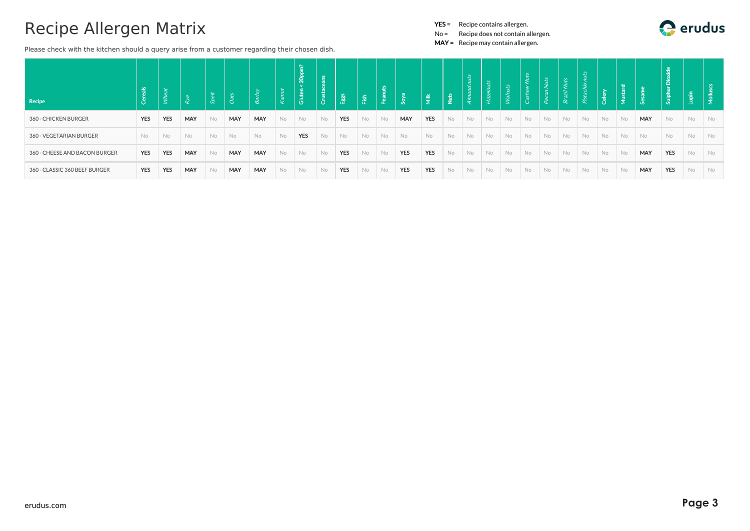Please check with the kitchen should a query arise from a customer regarding their chosen dish.

YES = Recipe contains allergen.

No = Recipe does not contain allergen.

| Recipe                        |            |            |     |           |           |            | ೪         | ∼<br>20 <sub>p</sub><br>Gluten |           |            | Fish      | P <sub>ear</sub> | Soya       | 道.         | $\frac{15}{2}$ | $\vec{c}$<br>$\frac{1}{2}$ | uts<br>$\mathbb{R}$ | ts<br>$\mathbb{R}^N$ | ÌЦ        |           |           |     | - 풉       |           |           | ulphu      |           |           |
|-------------------------------|------------|------------|-----|-----------|-----------|------------|-----------|--------------------------------|-----------|------------|-----------|------------------|------------|------------|----------------|----------------------------|---------------------|----------------------|-----------|-----------|-----------|-----|-----------|-----------|-----------|------------|-----------|-----------|
| 360 - CHICKEN BURGER          | <b>YES</b> | <b>YES</b> | MAY | <b>No</b> | MAY       | MAY        | No        | No                             | <b>No</b> | <b>YES</b> | No.       | <b>No</b>        | MAY        | <b>YES</b> | <b>No</b>      | No                         | No                  | <b>No</b>            | <b>No</b> | <b>No</b> | <b>No</b> | No. | <b>No</b> | <b>No</b> | MAY       | <b>No</b>  | <b>No</b> | <b>No</b> |
| 360 - VEGETARIAN BURGER       | <b>No</b>  | No         | No  | <b>No</b> | <b>No</b> | <b>No</b>  | No        | <b>YES</b>                     | <b>No</b> | No         | <b>No</b> | <b>No</b>        | No         | No         | No             | No                         | No                  | No                   | <b>No</b> | <b>No</b> | <b>No</b> | No. | <b>No</b> | <b>No</b> | <b>No</b> | No.        | No        | <b>No</b> |
| 360 - CHEESE AND BACON BURGER | YES        | <b>YES</b> | MAY | No        | MAY       | <b>MAY</b> | <b>No</b> | No                             | <b>No</b> | <b>YES</b> | No.       | No               | <b>YES</b> | <b>YES</b> | No             | No                         | No                  | No                   | <b>No</b> | <b>No</b> | No        | No. | No        | <b>No</b> | MAY       | <b>YES</b> | <b>No</b> | <b>No</b> |
| 360 - CLASSIC 360 BEEF BURGER | <b>YES</b> | <b>YES</b> | MAY | <b>No</b> | MAY       | MAY        | No        | <b>No</b>                      | <b>No</b> | <b>YES</b> | <b>No</b> | No               | <b>YES</b> | <b>YES</b> | <b>No</b>      | No                         | No                  | <b>No</b>            | No        | <b>No</b> | No.       | No. | No.       | No.       | MAY       | <b>YES</b> | <b>No</b> | <b>No</b> |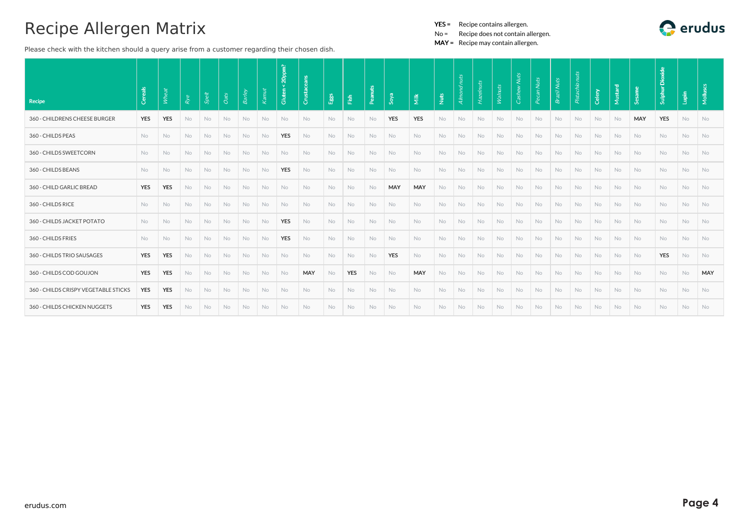Please check with the kitchen should a query arise from a customer regarding their chosen dish.

- YES = Recipe contains allergen.
- No = Recipe does not contain allergen.

| Recipe                               | Cereals    | Wheat      | Rye       | <b>Spelt</b> | Oats      | <b>Barley</b> | Kamut | 20ppm?<br>Gluten | eans<br>Crustace | E <sub>gg</sub> s | $\frac{6}{12}$ | Peanuts   | Soya       | $\tilde{\overline{\underline{\mathsf{z}}}}$ | Nuts | Almond nuts | Hazelnu   | Walnuts   | <b>Nuts</b><br>Cash | <b>Nuts</b> | <b>Nuts</b><br>Brazil | Pistachio nuts | Celery    | Mustard   | Sam<br>ي. | c<br><b>Sulphur</b> | Lupin     | Mollus    |
|--------------------------------------|------------|------------|-----------|--------------|-----------|---------------|-------|------------------|------------------|-------------------|----------------|-----------|------------|---------------------------------------------|------|-------------|-----------|-----------|---------------------|-------------|-----------------------|----------------|-----------|-----------|-----------|---------------------|-----------|-----------|
|                                      |            |            |           |              |           |               |       |                  |                  |                   |                |           |            |                                             |      |             |           |           |                     |             |                       |                |           |           |           |                     |           |           |
| 360 - CHILDRENS CHEESE BURGER        | <b>YES</b> | <b>YES</b> | No        | No           | No        | No            | No    | <b>No</b>        | No               | No.               | <b>No</b>      | No        | <b>YES</b> | <b>YES</b>                                  | No   | No          | No.       | No.       | No.                 | No.         | <b>No</b>             | <b>No</b>      | No        | No        | MAY       | <b>YES</b>          | No        | <b>No</b> |
| 360 - CHILDS PEAS                    | <b>No</b>  | <b>No</b>  | <b>No</b> | No           | <b>No</b> | <b>No</b>     | No    | <b>YES</b>       | No.              | No.               | No.            | No        | No         | No                                          | No   | No          | No.       | No.       | No.                 | No.         | No                    | <b>No</b>      | <b>No</b> | <b>No</b> | <b>No</b> | <b>No</b>           | No.       | <b>No</b> |
| 360 - CHILDS SWEETCORN               | <b>No</b>  | No.        | No        | No           | No        | No            | No    | <b>No</b>        | No               | <b>No</b>         | <b>No</b>      | No        | No         | No                                          | No   | No          | <b>No</b> | <b>No</b> | No.                 | <b>No</b>   | <b>No</b>             | No             | No        | No        | No        | No                  | No        | <b>No</b> |
| 360 - CHILDS BEANS                   | <b>No</b>  | No.        | No        | No           | <b>No</b> | No            | No    | <b>YES</b>       | No               | No.               | <b>No</b>      | No        | No         | No.                                         | No   | No          | No.       | No.       | No.                 | No.         | No.                   | <b>No</b>      | No        | No        | <b>No</b> | <b>No</b>           | <b>No</b> | No        |
| 360 - CHILD GARLIC BREAD             | <b>YES</b> | <b>YES</b> | <b>No</b> | No           | No        | No            | No    | <b>No</b>        | No               | <b>No</b>         | <b>No</b>      | No        | MAY        | MAY                                         | No   | No          | <b>No</b> | No        | No.                 | No          | <b>No</b>             | <b>No</b>      | No        | No        | <b>No</b> | No                  | No        | <b>No</b> |
| 360 - CHILDS RICE                    | <b>No</b>  | <b>No</b>  | No        | No           | <b>No</b> | No            | No    | No               | No               | No                | <b>No</b>      | No        | No         | No                                          | No   | No          | No        | No.       | No.                 | No          | <b>No</b>             | <b>No</b>      | <b>No</b> | No        | No        | No                  | No        | <b>No</b> |
| 360 - CHILDS JACKET POTATO           | <b>No</b>  | <b>No</b>  | No        | No           | No        | No            | No    | <b>YES</b>       | No               | No                | No             | No        | No         | No                                          | No   | No          | No        | <b>No</b> | <b>No</b>           | No          | No                    | <b>No</b>      | No        | No        | <b>No</b> | No                  | No        | <b>No</b> |
| 360 - CHILDS FRIES                   | <b>No</b>  | <b>No</b>  | No.       | No           | No        | No            | No    | <b>YES</b>       | No               | No.               | <b>No</b>      | No        | No         | No                                          | No   | No          | No        | No.       | No.                 | No          | No                    | <b>No</b>      | No        | No        | No        | <b>No</b>           | No        | <b>No</b> |
| 360 - CHILDS TRIO SAUSAGES           | <b>YES</b> | <b>YES</b> | <b>No</b> | No           | <b>No</b> | <b>No</b>     | No    | <b>No</b>        | No               | No                | No             | No        | <b>YES</b> | No                                          | No   | No          | <b>No</b> | No        | <b>No</b>           | No          | <b>No</b>             | <b>No</b>      | No        | No        | <b>No</b> | <b>YES</b>          | No        | <b>No</b> |
| 360 - CHILDS COD GOUJON              | <b>YES</b> | <b>YES</b> | No        | No           | No        | No            | No    | <b>No</b>        | MAY              | <b>No</b>         | <b>YES</b>     | No        | No         | <b>MAY</b>                                  | No   | No          | No.       | No.       | No.                 | No.         | No                    | <b>No</b>      | No        | No        | <b>No</b> | No                  | No.       | MAY       |
| 360 - CHILDS CRISPY VEGETABLE STICKS | <b>YES</b> | <b>YES</b> | No        | No           | <b>No</b> | No            | No    | No               | No               | No.               | <b>No</b>      | No        | No         | <b>No</b>                                   | No   | No          | No.       | No.       | No.                 | No.         | <b>No</b>             | <b>No</b>      | No        | No        | No        | <b>No</b>           | No        | No        |
| 360 - CHILDS CHICKEN NUGGETS         | <b>YES</b> | <b>YES</b> | <b>No</b> | No           | <b>No</b> | <b>No</b>     | No    | <b>No</b>        | No.              | <b>No</b>         | <b>No</b>      | <b>No</b> | <b>No</b>  | <b>No</b>                                   | No   | No          | <b>No</b> | <b>No</b> | No.                 | No          | No.                   | <b>No</b>      | <b>No</b> | <b>No</b> | <b>No</b> | No.                 | <b>No</b> | <b>No</b> |

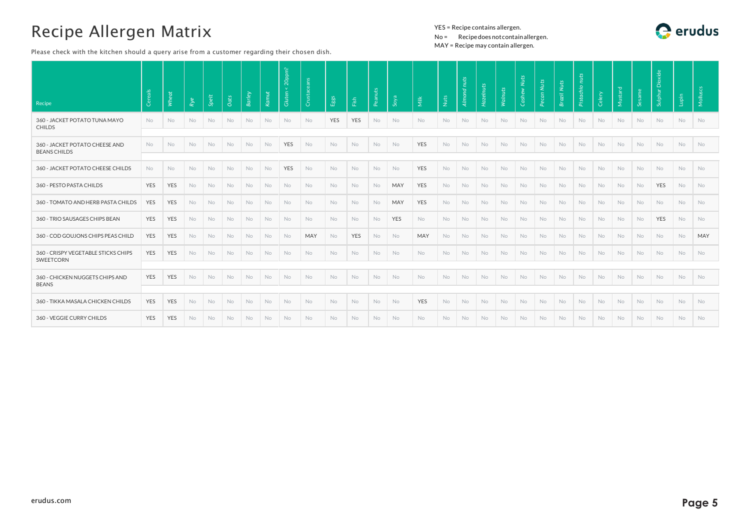Please check with the kitchen should a query arise from a customer regarding their chosen dish.

#### YES = Recipe contains allergen. No = Recipedoes notcontainallergen. MAY = Recipe may contain allergen.



| Recipe                                                | Cereals    | Wheat      | Rye       | Spelt     | Oats      | <b>Barley</b> | Kamut     | 20ppm?<br>Gluten <sub>1</sub> | Crust     | Eggs       | $\widetilde{\mathrm{E}}$ | Peanut    | Soya | $\overline{\mathsf{M}}$ ilk | Nuts      | nuts<br><b>Almond</b> | Hazelnuts | Walnuts | Cashew Nuts | Pecan Nuts | Brazil Nuts | nuts<br>Pistachio | Celery    | Mustard   | sam       | Sulphur Dioxide | Lupin     | Molluscs  |
|-------------------------------------------------------|------------|------------|-----------|-----------|-----------|---------------|-----------|-------------------------------|-----------|------------|--------------------------|-----------|------|-----------------------------|-----------|-----------------------|-----------|---------|-------------|------------|-------------|-------------------|-----------|-----------|-----------|-----------------|-----------|-----------|
| 360 - JACKET POTATO TUNA MAYO<br><b>CHILDS</b>        | No         | <b>No</b>  | <b>No</b> | No.       | No        | <b>No</b>     | No        | No                            | No        | <b>YES</b> | <b>YES</b>               | No.       | No   | <b>No</b>                   | No.       | <b>No</b>             | <b>No</b> | No      | No          | <b>No</b>  | <b>No</b>   | No                | No        | <b>No</b> | No        | No              | <b>No</b> | No        |
| 360 - JACKET POTATO CHEESE AND<br><b>BEANS CHILDS</b> | No         | No         | <b>No</b> | <b>No</b> | No        | <b>No</b>     | No        | YES                           | <b>No</b> | <b>No</b>  | No                       | No        | No   | YES                         | No        | No                    | No        | No      | No          | No         | No          | <b>No</b>         | No        | No        | No        | No              | No        | No        |
| 360 - JACKET POTATO CHEESE CHILDS                     | <b>No</b>  | <b>No</b>  | <b>No</b> | No        | No        | No            | <b>No</b> | YES                           | No.       | No.        | No                       | <b>No</b> | No   | YES                         | No        | <b>No</b>             | <b>No</b> | No      | No          | No         | No          | No                | <b>No</b> | No        | <b>No</b> | <b>No</b>       | No        | No        |
| 360 - PESTO PASTA CHILDS                              | <b>YES</b> | <b>YES</b> | <b>No</b> | <b>No</b> | <b>No</b> | No.           | <b>No</b> | <b>No</b>                     | No.       | <b>No</b>  | <b>No</b>                | No.       | MAY  | <b>YES</b>                  | No.       | No.                   | No.       | No      | <b>No</b>   | <b>No</b>  | <b>No</b>   | No                | <b>No</b> | No.       | <b>No</b> | <b>YES</b>      | <b>No</b> | No        |
| 360 - TOMATO AND HERB PASTA CHILDS                    | <b>YES</b> | YES        | <b>No</b> | No        | No        | <b>No</b>     | No        | No                            | No        | No         | No                       | <b>No</b> | MAY  | <b>YES</b>                  | <b>No</b> | <b>No</b>             | <b>No</b> | No      | No          | <b>No</b>  | No          | No                | No        | No.       | <b>No</b> | No              | <b>No</b> | No        |
| 360 - TRIO SAUSAGES CHIPS BEAN                        | <b>YES</b> | <b>YES</b> | <b>No</b> | No        | No        | <b>No</b>     | <b>No</b> | <b>No</b>                     | <b>No</b> | No         | <b>No</b>                | No.       | YES  | <b>No</b>                   | No.       | <b>No</b>             | <b>No</b> | No      | No          | <b>No</b>  | <b>No</b>   | No                | <b>No</b> | <b>No</b> | <b>No</b> | YES             | <b>No</b> | <b>No</b> |
| 360 - COD GOUJONS CHIPS PEAS CHILD                    | <b>YES</b> | <b>YES</b> | <b>No</b> | No        | No        | <b>No</b>     | No        | No                            | MAY       | No         | <b>YES</b>               | <b>No</b> | No   | MAY                         | <b>No</b> | <b>No</b>             | <b>No</b> | No      | No          | <b>No</b>  | No          | No                | <b>No</b> | No.       | No.       | No              | <b>No</b> | MAY       |
| 360 - CRISPY VEGETABLE STICKS CHIPS<br>SWEETCORN      | <b>YES</b> | YES        | <b>No</b> | <b>No</b> | No        | <b>No</b>     | No        | No                            | No        | No         | <b>No</b>                | <b>No</b> | No   | <b>No</b>                   | No.       | No                    | <b>No</b> | No      | No          | <b>No</b>  | No          | No                | No        | <b>No</b> | <b>No</b> | No              | No        | No        |
| 360 - CHICKEN NUGGETS CHIPS AND<br><b>BEANS</b>       | YES        | YES        | <b>No</b> | No        | No        | <b>No</b>     | No        | No                            | <b>No</b> | No         | No                       | No        | No   | No                          | <b>No</b> | No                    | No        | No      | No          | No         | <b>No</b>   | No                | No        | No        | <b>No</b> | No              | No        | No        |
| 360 - TIKKA MASALA CHICKEN CHILDS                     | YES        | YES        | <b>No</b> | <b>No</b> | No        | No            | No        | No                            | No        | No         | No                       | No        | No   | YES                         | <b>No</b> | No                    | No        | No      | No          | No         | No          | No                | No        | <b>No</b> | No        | No              | No        | <b>No</b> |
| 360 - VEGGIE CURRY CHILDS                             | <b>YES</b> | <b>YES</b> | <b>No</b> | <b>No</b> | No        | <b>No</b>     | <b>No</b> | <b>No</b>                     | <b>No</b> | No         | No.                      | No.       | No   | <b>No</b>                   | No.       | <b>No</b>             | <b>No</b> | No      | <b>No</b>   | <b>No</b>  | <b>No</b>   | No.               | <b>No</b> | No.       | No.       | <b>No</b>       | No.       | <b>No</b> |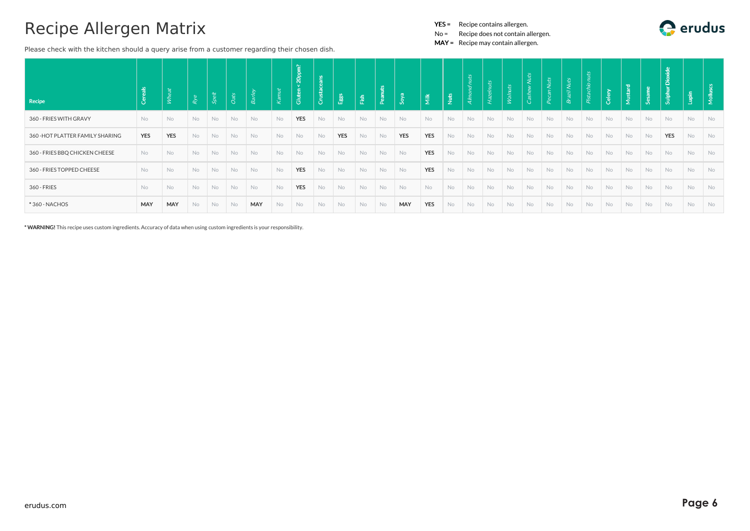Please check with the kitchen should a query arise from a customer regarding their chosen dish.

YES = Recipe contains allergen.

No = Recipe does not contain allergen.

MAY = Recipe may contain allergen.

| Recipe                           | 읔<br>Cere  | lz,        | Rye       | $\ddot{\pi}$<br>Ŕ, | <b>Oats</b> | <b>Barle</b> | Kamut     | ഘ<br>20 <sub>0</sub><br>Gluter | Crusta    | / ಜೈ       | Fish      | £<br>Pean | s <sub>oya</sub> | $\frac{3}{2}$ | $\frac{16}{2}$ | $\mathfrak{c}_1$<br>$\tilde{z}$<br>Almo | Haz       | kN        | 5         | luts | zil Nuts<br><b>Q</b> | nuts | Celery | Mustard | - LÄ      | Dioxide<br>Sulphur | lupin     | $\overline{\mathsf{R}}$ |
|----------------------------------|------------|------------|-----------|--------------------|-------------|--------------|-----------|--------------------------------|-----------|------------|-----------|-----------|------------------|---------------|----------------|-----------------------------------------|-----------|-----------|-----------|------|----------------------|------|--------|---------|-----------|--------------------|-----------|-------------------------|
| 360 - FRIES WITH GRAVY           | <b>No</b>  | <b>No</b>  | <b>No</b> | No                 | No          | <b>No</b>    | <b>No</b> | <b>YES</b>                     | <b>No</b> | <b>No</b>  | <b>No</b> | No        | No               | <b>No</b>     | No             | <b>No</b>                               | No        | <b>No</b> | <b>No</b> | No   | No                   | No   | No     | No      | <b>No</b> | <b>No</b>          | <b>No</b> | No                      |
| 360 - HOT PLATTER FAMILY SHARING | <b>YES</b> | <b>YES</b> | <b>No</b> | No                 | No          | No           | No        | No                             | No        | <b>YES</b> | No        | No        | <b>YES</b>       | <b>YES</b>    | No             | No                                      | No        | <b>No</b> | No        | No   | No                   | No   | No     | No      | No        | <b>YES</b>         | <b>No</b> | No                      |
| 360 - FRIES BBQ CHICKEN CHEESE   | <b>No</b>  | No         | <b>No</b> | No                 | No          | No           | <b>No</b> | <b>No</b>                      | No        | No         | No        | No        | No               | <b>YES</b>    | No             | No                                      | No        | <b>No</b> | No        | No   | No                   | No   | No     | No      | No        | No                 | No        | No                      |
| 360 - FRIES TOPPED CHEESE        | No         | <b>No</b>  | No        | No                 | <b>No</b>   | No           | <b>No</b> | <b>YES</b>                     | No        | No         | No        | No        | No               | <b>YES</b>    | No             | No                                      | No        | No        | No        | No   | No                   | No   | No     | No      | No        | No                 | <b>No</b> | No                      |
| 360 - FRIES                      | No         | No         | No        | No                 | No          | No           | <b>No</b> | <b>YES</b>                     | No        | No         | No        | No        | No               | <b>No</b>     | No             | No                                      | No        | <b>No</b> | No        | No   | No                   | No   | No     | No      | No        | No                 | <b>No</b> | No                      |
| *360 - NACHOS                    | MAY        | MAY        | No.       | No                 | No          | MAY          | No        | No                             | No        | No         | No        | No        | <b>MAY</b>       | <b>YES</b>    | No             | No                                      | <b>No</b> | <b>No</b> | <b>No</b> | No   | No                   | No   | No     | No      | No        | No                 | <b>No</b> | No                      |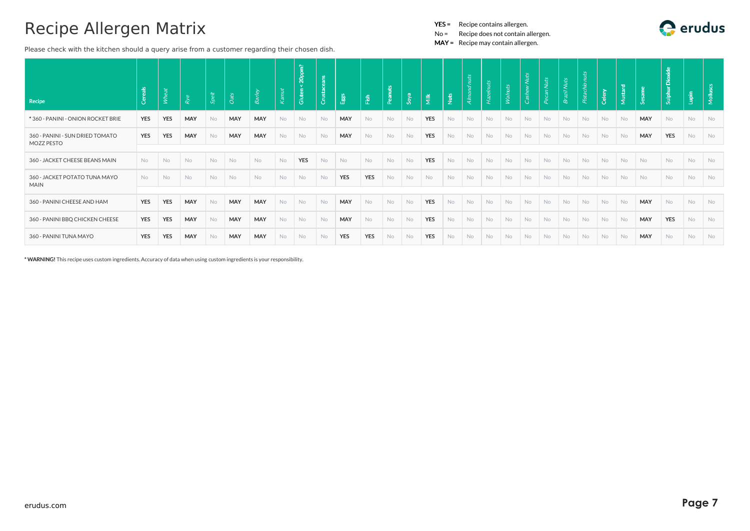Please check with the kitchen should a query arise from a customer regarding their chosen dish.

YES = Recipe contains allergen.

No = Recipe does not contain allergen.

MAY = Recipe may contain allergen.

| Recipe                                        | Cereals    | Йψ         | Rye       | <b>Spei</b> | Oats      | R <sub>3</sub> | Kamut | 20pm?<br><b>Cluten</b> | Crusta    | Eggs       | Fish       |           | Soya      | $\frac{3}{2}$ | $\frac{1}{2}$ | nuts<br>Almo | Hazelnuts | Walnuts |           | -ši       | <b>Nuts</b> | $\mathfrak{S}$ |           | stard | ക്         | Dioxide<br>Sulphur | Lupin     | $\frac{1}{2}$ |
|-----------------------------------------------|------------|------------|-----------|-------------|-----------|----------------|-------|------------------------|-----------|------------|------------|-----------|-----------|---------------|---------------|--------------|-----------|---------|-----------|-----------|-------------|----------------|-----------|-------|------------|--------------------|-----------|---------------|
| *360 - PANINI - ONION ROCKET BRIE             | <b>YES</b> | <b>YES</b> | MAY       | <b>No</b>   | MAY       | <b>MAY</b>     | No    | No                     | <b>No</b> | MAY        | No         | <b>No</b> | <b>No</b> | <b>YES</b>    | <b>No</b>     | No           | No        | No      | <b>No</b> | <b>No</b> | <b>No</b>   | No             | <b>No</b> | No    | MAY        | No                 | No        | No            |
| 360 - PANINI - SUN DRIED TOMATO<br>MOZZ PESTO | <b>YES</b> | <b>YES</b> | MAY       | <b>No</b>   | MAY       | <b>MAY</b>     | No    | No                     | <b>No</b> | MAY        | <b>No</b>  | <b>No</b> | <b>No</b> | <b>YES</b>    | No            | <b>No</b>    | No        | No      | <b>No</b> | <b>No</b> | <b>No</b>   | No             | <b>No</b> | No    | MAY        | <b>YES</b>         | <b>No</b> | <b>No</b>     |
|                                               |            |            |           |             |           |                |       |                        |           |            |            |           |           |               |               |              |           |         |           |           |             |                |           |       |            |                    |           |               |
| 360 - JACKET CHEESE BEANS MAIN                | No         | No         | No        | No          | No        | No             | No    | <b>YES</b>             | No        | No         | No         | No        | No        | <b>YES</b>    | No            | No           | No        | No      | No        | <b>No</b> | <b>No</b>   | No             | No        | No    | No         | No                 | No        | No            |
| 360 - JACKET POTATO TUNA MAYO<br><b>MAIN</b>  | <b>No</b>  | No         | <b>No</b> | No          | <b>No</b> | <b>No</b>      | No    | No                     | No        | <b>YES</b> | YES        | No        | <b>No</b> | No            | No            | <b>No</b>    | No        | No      | No        | <b>No</b> | <b>No</b>   | No             | <b>No</b> | No    | No         | No                 | No        | No            |
|                                               |            |            |           |             |           |                |       |                        |           |            |            |           |           |               |               |              |           |         |           |           |             |                |           |       |            |                    |           |               |
| 360 - PANINI CHEESE AND HAM                   | <b>YES</b> | <b>YES</b> | MAY       | <b>No</b>   | MAY       | MAY            | No    | No                     | <b>No</b> | MAY        | <b>No</b>  | <b>No</b> | No        | YES           | No            | No           | No        | No      | <b>No</b> | <b>No</b> | <b>No</b>   | No             | <b>No</b> | No    | MAY        | <b>No</b>          | No        | <b>No</b>     |
| 360 - PANINI BBQ CHICKEN CHEESE               | <b>YES</b> | <b>YES</b> | MAY       | <b>No</b>   | MAY       | <b>MAY</b>     | No    | No                     | <b>No</b> | MAY        | No         | <b>No</b> | <b>No</b> | <b>YES</b>    | No            | No           | No        | No      | No        | No        | <b>No</b>   | No             | No        | No    | MAY        | <b>YES</b>         | <b>No</b> | <b>No</b>     |
| 360 - PANINI TUNA MAYO                        | <b>YES</b> | <b>YES</b> | MAY       | <b>No</b>   | MAY       | <b>MAY</b>     | No    | No                     | <b>No</b> | <b>YES</b> | <b>YES</b> | No        | No        | <b>YES</b>    | No            | No           | No        | No      | No        | No        | <b>No</b>   | No             | No        | No    | <b>MAY</b> | <b>No</b>          | <b>No</b> | No.           |

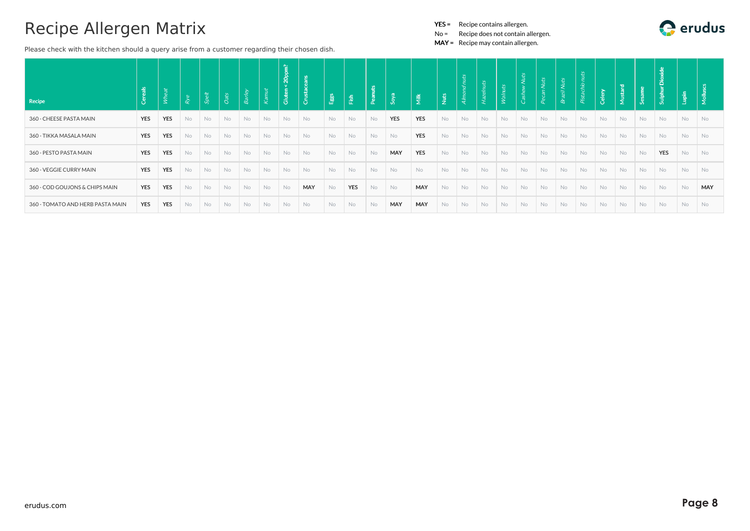Please check with the kitchen should a query arise from a customer regarding their chosen dish.

YES = Recipe contains allergen.

No = Recipe does not contain allergen.

| <b>Recipe</b>                    | ඊ          | Whe        | Rye       | Spei | Oats      | $\mathcal{S}_{\mathcal{C}}$ |                | 省<br>$\Delta$<br>ō<br>冨 | Crust     | Egg       | Fish       |           | Soya       | $\tilde{\overline{\underline{\pi}}}$ | $\frac{1}{2}$ |           | huts      | Veyl      | <b>Nuts</b><br>Cash | an Nuts | Brazil Nuts | Æ<br>Pista | ्छ        | ಾ         |           | <b>Dioxide</b><br>Sulphur | Lupin | Mollu      |
|----------------------------------|------------|------------|-----------|------|-----------|-----------------------------|----------------|-------------------------|-----------|-----------|------------|-----------|------------|--------------------------------------|---------------|-----------|-----------|-----------|---------------------|---------|-------------|------------|-----------|-----------|-----------|---------------------------|-------|------------|
|                                  |            |            |           |      |           |                             |                |                         |           |           |            |           |            |                                      |               |           |           |           |                     |         |             |            |           |           |           |                           |       |            |
| 360 - CHEESE PASTA MAIN          | <b>YES</b> | <b>YES</b> | <b>No</b> | No   | <b>No</b> | <b>No</b>                   | <b>No</b>      | No                      | No        | No.       | No         | <b>No</b> | <b>YES</b> | <b>YES</b>                           | No.           | <b>No</b> | No        | <b>No</b> | <b>No</b>           | No      | <b>No</b>   | <b>No</b>  | <b>No</b> | No        | No        | No                        | No    | No         |
| 360 - TIKKA MASALA MAIN          | <b>YES</b> | <b>YES</b> | No.       | No   | No        | <b>No</b>                   | <b>No</b>      | <b>No</b>               | No        | <b>No</b> | No         | <b>No</b> | <b>No</b>  | <b>YES</b>                           | No.           | <b>No</b> | <b>No</b> | <b>No</b> | <b>No</b>           | No      | <b>No</b>   | <b>No</b>  | <b>No</b> | No        | <b>No</b> | No                        | No    | <b>No</b>  |
| 360 - PESTO PASTA MAIN           | <b>YES</b> | <b>YES</b> | No        | No   | No        | <b>No</b>                   | <b>No</b>      | No                      | No        | No        | No         | No        | MAY        | <b>YES</b>                           | No            | No        | <b>No</b> | <b>No</b> | No                  | No      | No          | No         | No        | No        | No        | <b>YES</b>                | No    | <b>No</b>  |
| 360 - VEGGIE CURRY MAIN          | <b>YES</b> | <b>YES</b> | No        | No   | No        | No                          | N <sub>o</sub> | <b>No</b>               | No        | <b>No</b> | No         | No        | No         | No                                   | No            | No        | No        | <b>No</b> | No                  | No      | No          | No         | No.       | No        | No        | No                        | No    | <b>No</b>  |
| 360 - COD GOUJONS & CHIPS MAIN   | <b>YES</b> | <b>YES</b> | <b>No</b> | No   | No        | No                          | No             | No                      | MAY       | <b>No</b> | <b>YES</b> | <b>No</b> | No         | MAY                                  | No            | <b>No</b> | No        | <b>No</b> | No                  | No      | No          | No         | No        | No        | No        | No                        | No    | <b>MAY</b> |
| 360 - TOMATO AND HERB PASTA MAIN | <b>YES</b> | <b>YES</b> | <b>No</b> | No   | No        | No                          | <b>No</b>      | <b>No</b>               | <b>No</b> | <b>No</b> | <b>No</b>  | <b>No</b> | MAY        | MAY                                  | <b>No</b>     | <b>No</b> | <b>No</b> | <b>No</b> | <b>No</b>           | No      | <b>No</b>   | No         | <b>No</b> | <b>No</b> | No        | No                        | No    | No         |

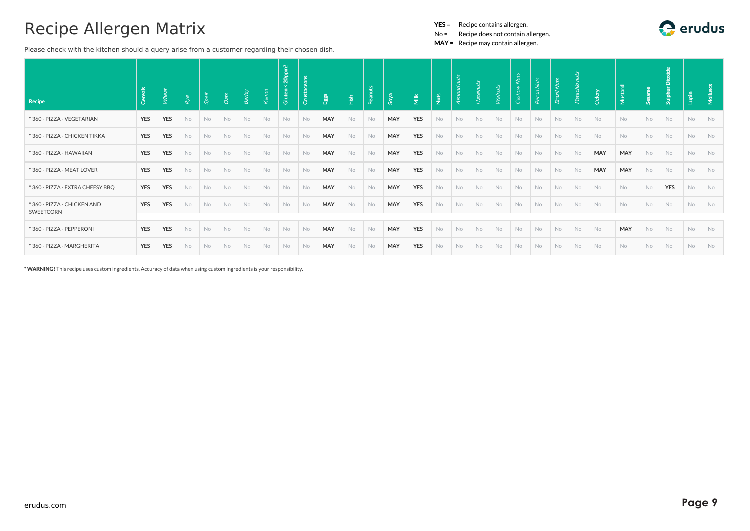Please check with the kitchen should a query arise from a customer regarding their chosen dish.

No = Recipe does not contain allergen.

MAY = Recipe may contain allergen.

| Recipe                                  | Cereals    | Μħ,        | Rye       | Spelt | Oats      | <b>Barley</b> | K <sub>ann11</sub> | 20ppm?<br>Gluter |           | Eggs       | 歪         | 꼭         | Soya       | Ĕ          | <b>Nuts</b> | dnuts<br>Almo. | Hazelnuts | Walnuts   | <b>Vuts</b><br>Cash |           | uts       | nuts<br>$\sigma$ .<br>Pista | Celery    | Mustard   |           | Dioxide<br>Sulphur | Lupin     | Mollus    |
|-----------------------------------------|------------|------------|-----------|-------|-----------|---------------|--------------------|------------------|-----------|------------|-----------|-----------|------------|------------|-------------|----------------|-----------|-----------|---------------------|-----------|-----------|-----------------------------|-----------|-----------|-----------|--------------------|-----------|-----------|
| *360 - PIZZA - VEGETARIAN               | <b>YES</b> | <b>YES</b> | <b>No</b> | No    | <b>No</b> | <b>No</b>     | <b>No</b>          | <b>No</b>        | <b>No</b> | MAY        | <b>No</b> | <b>No</b> | MAY        | <b>YES</b> | <b>No</b>   | No             | No        | <b>No</b> | <b>No</b>           | No.       | No        | <b>No</b>                   | <b>No</b> | <b>No</b> | <b>No</b> | <b>No</b>          | <b>No</b> | <b>No</b> |
| *360 - PIZZA - CHICKEN TIKKA            | YES        | <b>YES</b> | <b>No</b> | No    | No        | No            | <b>No</b>          | No.              | No        | MAY        | <b>No</b> | No        | MAY        | <b>YES</b> | No          | No             | No        | No        | No                  | <b>No</b> | No        | No                          | No        | No        | No        | No                 | <b>No</b> | <b>No</b> |
| *360 - PIZZA - HAWAIIAN                 | <b>YES</b> | <b>YES</b> | <b>No</b> | No    | No        | No            | <b>No</b>          | No.              | No        | MAY        | <b>No</b> | No        | MAY        | <b>YES</b> | No          | No             | No        | No        | No                  | No        | No        | No                          | MAY       | MAY       | No        | No                 | <b>No</b> | <b>No</b> |
| *360 - PIZZA - MEAT LOVER               | <b>YES</b> | <b>YES</b> | <b>No</b> | No    | <b>No</b> | <b>No</b>     | <b>No</b>          | No.              | No        | <b>MAY</b> | <b>No</b> | No        | MAY        | <b>YES</b> | <b>No</b>   | <b>No</b>      | No        | No        | <b>No</b>           | <b>No</b> | <b>No</b> | No                          | MAY       | MAY       | <b>No</b> | <b>No</b>          | <b>No</b> | <b>No</b> |
| *360 - PIZZA - EXTRA CHEESY BBQ         | <b>YES</b> | <b>YES</b> | <b>No</b> | No    | No        | No            | <b>No</b>          | No.              | No        | MAY        | <b>No</b> | No        | MAY        | <b>YES</b> | No          | No             | No        | No        | No                  | No        | No        | No                          | No        | No        | No        | <b>YES</b>         | <b>No</b> | <b>No</b> |
| *360 - PIZZA - CHICKEN AND<br>SWEETCORN | YES        | <b>YES</b> | <b>No</b> | No    | No        | No            | No                 | No.              | No        | MAY        | No        | No        | <b>MAY</b> | YES        | <b>No</b>   | No             | No        | No        | No                  | No        | No        | No                          | No        | No        | No        | No                 | No        | <b>No</b> |
|                                         |            |            |           |       |           |               |                    |                  |           |            |           |           |            |            |             |                |           |           |                     |           |           |                             |           |           |           |                    |           |           |
| *360 - PIZZA - PEPPERONI                | <b>YES</b> | <b>YES</b> | <b>No</b> | No    | No        | No            | <b>No</b>          | <b>No</b>        | No        | MAY        | No        | <b>No</b> | MAY        | <b>YES</b> | No          | No             | No        | No        | No                  | No        | No        | No                          | <b>No</b> | MAY       | <b>No</b> | No                 | No        | <b>No</b> |
| *360 - PIZZA - MARGHERITA               | <b>YES</b> | <b>YES</b> | No        | No    | No        | No            | No                 | No.              | No        | MAY        | No.       | No        | MAY        | <b>YES</b> | No          | No             | No        | No        | No                  | No        | No        | <b>No</b>                   | <b>No</b> | <b>No</b> | <b>No</b> | <b>No</b>          | No        | No.       |